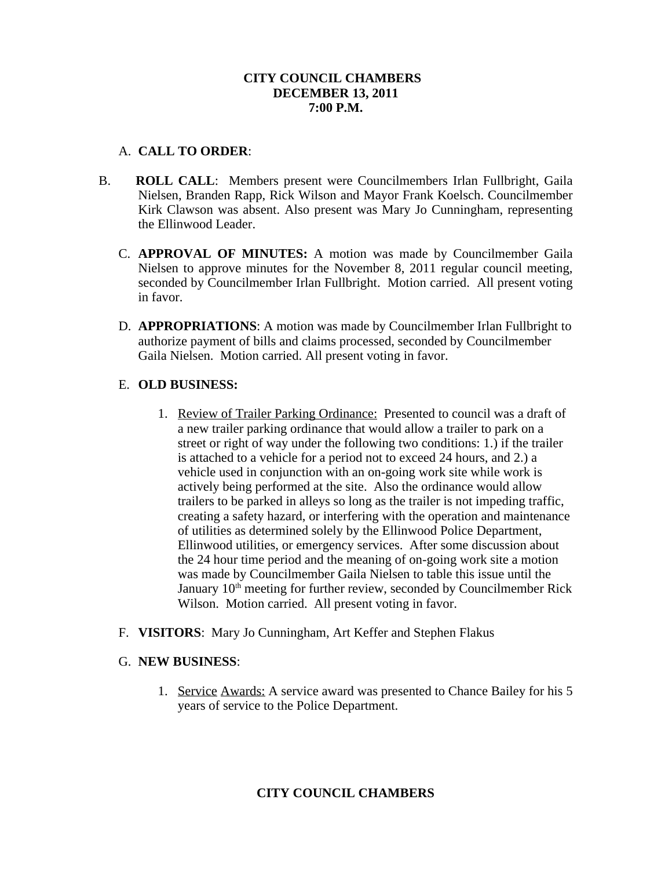### **CITY COUNCIL CHAMBERS DECEMBER 13, 2011 7:00 P.M.**

## A. **CALL TO ORDER**:

- B. **ROLL CALL**: Members present were Councilmembers Irlan Fullbright, Gaila Nielsen, Branden Rapp, Rick Wilson and Mayor Frank Koelsch. Councilmember Kirk Clawson was absent. Also present was Mary Jo Cunningham, representing the Ellinwood Leader.
	- C. **APPROVAL OF MINUTES:** A motion was made by Councilmember Gaila Nielsen to approve minutes for the November 8, 2011 regular council meeting, seconded by Councilmember Irlan Fullbright. Motion carried. All present voting in favor.
	- D. **APPROPRIATIONS**: A motion was made by Councilmember Irlan Fullbright to authorize payment of bills and claims processed, seconded by Councilmember Gaila Nielsen. Motion carried. All present voting in favor.

## E. **OLD BUSINESS:**

- 1. Review of Trailer Parking Ordinance: Presented to council was a draft of a new trailer parking ordinance that would allow a trailer to park on a street or right of way under the following two conditions: 1.) if the trailer is attached to a vehicle for a period not to exceed 24 hours, and 2.) a vehicle used in conjunction with an on-going work site while work is actively being performed at the site. Also the ordinance would allow trailers to be parked in alleys so long as the trailer is not impeding traffic, creating a safety hazard, or interfering with the operation and maintenance of utilities as determined solely by the Ellinwood Police Department, Ellinwood utilities, or emergency services. After some discussion about the 24 hour time period and the meaning of on-going work site a motion was made by Councilmember Gaila Nielsen to table this issue until the January  $10<sup>th</sup>$  meeting for further review, seconded by Councilmember Rick Wilson. Motion carried. All present voting in favor.
- F. **VISITORS**: Mary Jo Cunningham, Art Keffer and Stephen Flakus

### G. **NEW BUSINESS**:

1. Service Awards: A service award was presented to Chance Bailey for his 5 years of service to the Police Department.

# **CITY COUNCIL CHAMBERS**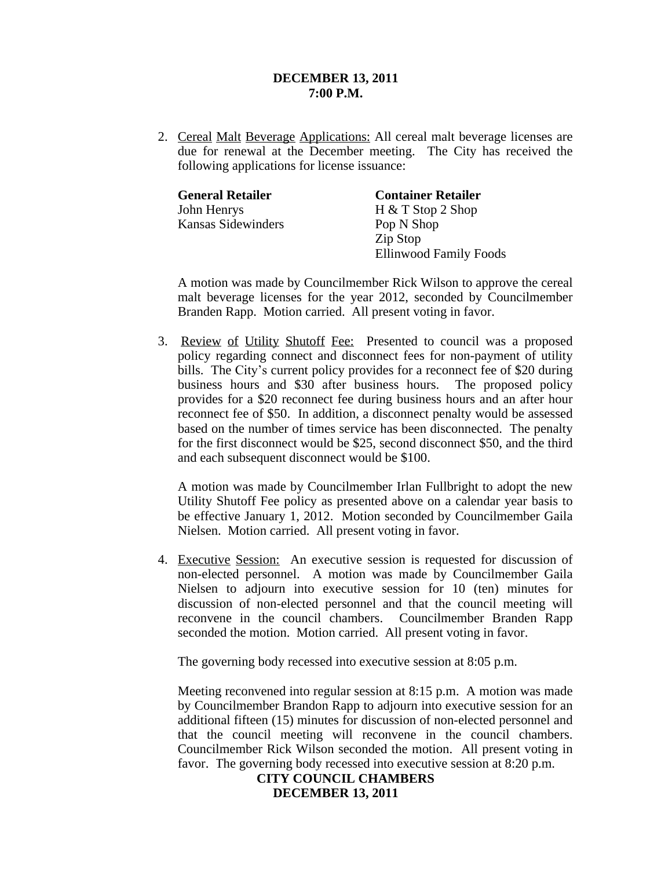### **DECEMBER 13, 2011 7:00 P.M.**

2. Cereal Malt Beverage Applications: All cereal malt beverage licenses are due for renewal at the December meeting. The City has received the following applications for license issuance:

| <b>General Retailer</b> | <b>Container Retailer</b>     |
|-------------------------|-------------------------------|
| John Henrys             | $H & T$ Stop 2 Shop           |
| Kansas Sidewinders      | Pop N Shop                    |
|                         | Zip Stop                      |
|                         | <b>Ellinwood Family Foods</b> |

A motion was made by Councilmember Rick Wilson to approve the cereal malt beverage licenses for the year 2012, seconded by Councilmember Branden Rapp. Motion carried. All present voting in favor.

3. Review of Utility Shutoff Fee: Presented to council was a proposed policy regarding connect and disconnect fees for non-payment of utility bills. The City's current policy provides for a reconnect fee of \$20 during business hours and \$30 after business hours. The proposed policy provides for a \$20 reconnect fee during business hours and an after hour reconnect fee of \$50. In addition, a disconnect penalty would be assessed based on the number of times service has been disconnected. The penalty for the first disconnect would be \$25, second disconnect \$50, and the third and each subsequent disconnect would be \$100.

A motion was made by Councilmember Irlan Fullbright to adopt the new Utility Shutoff Fee policy as presented above on a calendar year basis to be effective January 1, 2012. Motion seconded by Councilmember Gaila Nielsen. Motion carried. All present voting in favor.

4. Executive Session: An executive session is requested for discussion of non-elected personnel. A motion was made by Councilmember Gaila Nielsen to adjourn into executive session for 10 (ten) minutes for discussion of non-elected personnel and that the council meeting will reconvene in the council chambers. Councilmember Branden Rapp seconded the motion. Motion carried. All present voting in favor.

The governing body recessed into executive session at 8:05 p.m.

Meeting reconvened into regular session at 8:15 p.m. A motion was made by Councilmember Brandon Rapp to adjourn into executive session for an additional fifteen (15) minutes for discussion of non-elected personnel and that the council meeting will reconvene in the council chambers. Councilmember Rick Wilson seconded the motion. All present voting in favor. The governing body recessed into executive session at 8:20 p.m.

> **CITY COUNCIL CHAMBERS DECEMBER 13, 2011**